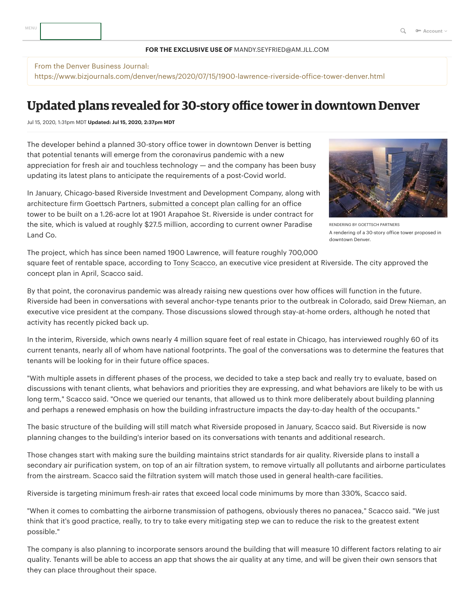## **FOR THE EXCLUSIVE USE OF** MANDY.SEYFRIED@AM.JLL.COM

## From the Denver Business Journal:

https://www.bizjournals.com/denver/news/2020/07/15/1900-lawrence-riverside-office-tower-denver.html

## **Updated plans revealed for 30-story office tower in downtown Denver**

Jul 15, 2020, 1:31pm MDT **Updated: Jul 15, 2020, 2:37pm MDT**

The developer behind a planned 30-story office tower in downtown Denver is betting that potential tenants will emerge from the coronavirus pandemic with a new appreciation for fresh air and touchless technology — and the company has been busy updating its latest plans to anticipate the requirements of a post-Covid world.

In January, Chicago-based Riverside Investment and Development Company, along with architecture firm Goettsch Partners, [submitted](https://www.bizjournals.com/denver/news/2020/01/14/1901-arapahoe-st-office-tower-plans.html) a concept plan calling for an office tower to be built on a 1.26-acre lot at 1901 Arapahoe St. Riverside is under contract for the site, which is valued at roughly \$27.5 million, according to current owner Paradise Land Co.



RENDERING BY GOETTSCH PARTNERS A rendering of a 30-story office tower proposed in downtown Denver.

The project, which has since been named 1900 Lawrence, will feature roughly 700,000 square feet of rentable space, according to Tony [Scacco](https://www.bizjournals.com/denver/search/results?q=Tony%20Scacco), an executive vice president at Riverside. The city approved the concept plan in April, Scacco said.

By that point, the coronavirus pandemic was already raising new questions over how offices will function in the future. Riverside had been in conversations with several anchor-type tenants prior to the outbreak in Colorado, said Drew [Nieman](https://www.bizjournals.com/denver/search/results?q=Drew%20Nieman), an executive vice president at the company. Those discussions slowed through stay-at-home orders, although he noted that activity has recently picked back up.

In the interim, Riverside, which owns nearly 4 million square feet of real estate in Chicago, has interviewed roughly 60 of its current tenants, nearly all of whom have national footprints. The goal of the conversations was to determine the features that tenants will be looking for in their future office spaces.

"With multiple assets in different phases of the process, we decided to take a step back and really try to evaluate, based on discussions with tenant clients, what behaviors and priorities they are expressing, and what behaviors are likely to be with us long term," Scacco said. "Once we queried our tenants, that allowed us to think more deliberately about building planning and perhaps a renewed emphasis on how the building infrastructure impacts the day-to-day health of the occupants."

The basic structure of the building will still match what Riverside proposed in January, Scacco said. But Riverside is now planning changes to the building's interior based on its conversations with tenants and additional research.

Those changes start with making sure the building maintains strict standards for air quality. Riverside plans to install a secondary air purification system, on top of an air filtration system, to remove virtually all pollutants and airborne particulates from the airstream. Scacco said the filtration system will match those used in general health-care facilities.

Riverside is targeting minimum fresh-air rates that exceed local code minimums by more than 330%, Scacco said.

"When it comes to combatting the airborne transmission of pathogens, obviously theres no panacea," Scacco said. "We just think that it's good practice, really, to try to take every mitigating step we can to reduce the risk to the greatest extent possible."

The company is also planning to incorporate sensors around the building that will measure 10 different factors relating to air quality. Tenants will be able to access an app that shows the air quality at any time, and will be given their own sensors that they can place throughout their space.